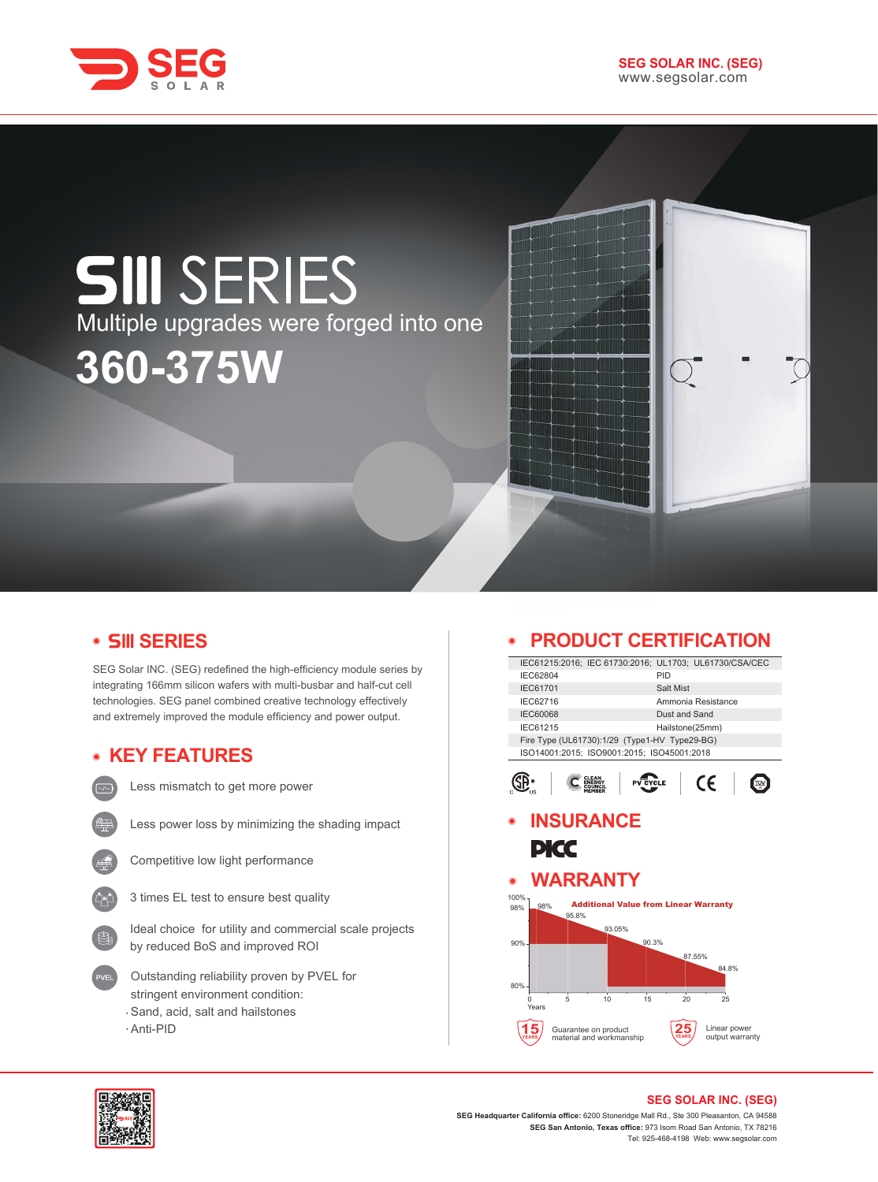

# **SIII** SERIES Multiple upgrades were forged into one **360-375W**

## **SERIES**

SEG Solar INC. (SEG) redefined the high-efficiency module series by integrating 166mm silicon wafers with multi-busbar and half-cut cell technologies. SEG panel combined creative technology effectively and extremely improved the module efficiency and power output.

## **KEY FEATURES**



Less mismatch to get more power



Less power loss by minimizing the shading impact



Competitive low light performance



Ideal choice for utility and commercial scale projects by reduced BoS and improved ROI

- Outstanding reliability proven by PVEL for stringent environment condition: Sand, acid, salt and hailstones
- Anti-PID

## **PRODUCT CERTIFICATION**

|                    |                                               |                    | IEC61215:2016; IEC 61730:2016; UL1703; UL61730/CSA/CEC |  |
|--------------------|-----------------------------------------------|--------------------|--------------------------------------------------------|--|
| IEC62804           |                                               | PID                |                                                        |  |
| IEC61701           |                                               | Salt Mist          |                                                        |  |
| IEC62716           |                                               | Ammonia Resistance |                                                        |  |
| <b>IEC60068</b>    |                                               | Dust and Sand      |                                                        |  |
| IEC61215           |                                               | Hailstone(25mm)    |                                                        |  |
|                    | Fire Type (UL61730):1/29 (Type1-HV Type29-BG) |                    |                                                        |  |
|                    | ISO14001:2015; ISO9001:2015; ISO45001:2018    |                    |                                                        |  |
|                    |                                               | /CLE               | CE                                                     |  |
|                    | <b>INSURANCE</b>                              |                    |                                                        |  |
|                    |                                               |                    |                                                        |  |
| PKC                |                                               |                    |                                                        |  |
|                    |                                               |                    |                                                        |  |
| ◉                  | <b>WARRANTY</b>                               |                    |                                                        |  |
| 100%<br>98%<br>98% | <b>Additional Value from Linear Warranty</b>  |                    |                                                        |  |
| 95.8%              |                                               |                    |                                                        |  |
|                    | 93.05%                                        |                    |                                                        |  |
| 90%                |                                               | 90.3%              |                                                        |  |
|                    |                                               | 87.55%             |                                                        |  |
|                    |                                               |                    | 84.8%                                                  |  |
| 80%                |                                               |                    |                                                        |  |
| 5<br>U<br>Years    | 10<br>15                                      | 20                 | 25                                                     |  |
|                    | Guarantee on product                          |                    | Linear power                                           |  |
|                    | material and workmanship                      |                    | output warranty                                        |  |
|                    |                                               |                    |                                                        |  |



#### **SEG SOLAR INC. (SEG)**

**SEG Headquarter California office:** 6200 Stoneridge Mall Rd., Ste 300 Pleasanton, CA 94588 **SEG San Antonio, Texas office:** 973 Isom Road San Antonio, TX 78216 Tel: 925-468-4198 Web: www.segsolar.com